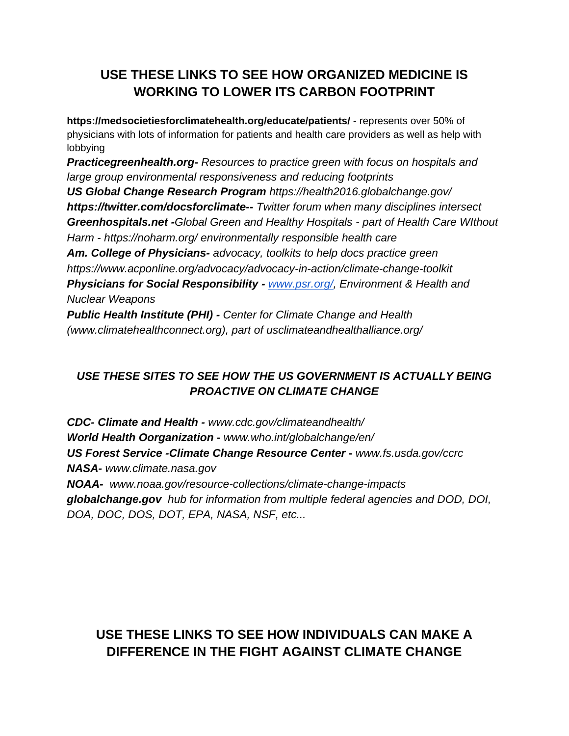## **USE THESE LINKS TO SEE HOW ORGANIZED MEDICINE IS WORKING TO LOWER ITS CARBON FOOTPRINT**

**<https://medsocietiesforclimatehealth.org/educate/patients/>** - represents over 50% of physicians with lots of information for patients and health care providers as well as help with lobbying

*Practicegreenhealth.org- Resources to practice green with focus on hospitals and large group environmental responsiveness and reducing footprints*

*US Global Change Research Program https://health2016.globalchange.gov/ https://twitter.com/docsforclimate-- Twitter forum when many disciplines intersect Greenhospitals.net -Global Green and Healthy Hospitals - part of Health Care WIthout Harm - https://noharm.org/ environmentally responsible health care*

*Am. College of Physicians- advocacy, toolkits to help docs practice green https://www.acponline.org/advocacy/advocacy-in-action/climate-change-toolkit Physicians for Social Responsibility - [www.psr.org/,](http://www.psr.org/) Environment & Health and* 

*Nuclear Weapons*

*Public Health Institute (PHI) - Center for Climate Change and Health (www.climatehealthconnect.org), part of usclimateandhealthalliance.org/*

## *USE THESE SITES TO SEE HOW THE US GOVERNMENT IS ACTUALLY BEING PROACTIVE ON CLIMATE CHANGE*

*CDC- Climate and Health - www.cdc.gov/climateandhealth/ World Health Oorganization - www.who.int/globalchange/en/ US Forest Service -Climate Change Resource Center - www.fs.usda.gov/ccrc NASA- www.climate.nasa.gov NOAA- www.noaa.gov/resource-collections/climate-change-impacts*

*globalchange.gov hub for information from multiple federal agencies and DOD, DOI, DOA, DOC, DOS, DOT, EPA, NASA, NSF, etc...*

## **USE THESE LINKS TO SEE HOW INDIVIDUALS CAN MAKE A DIFFERENCE IN THE FIGHT AGAINST CLIMATE CHANGE**